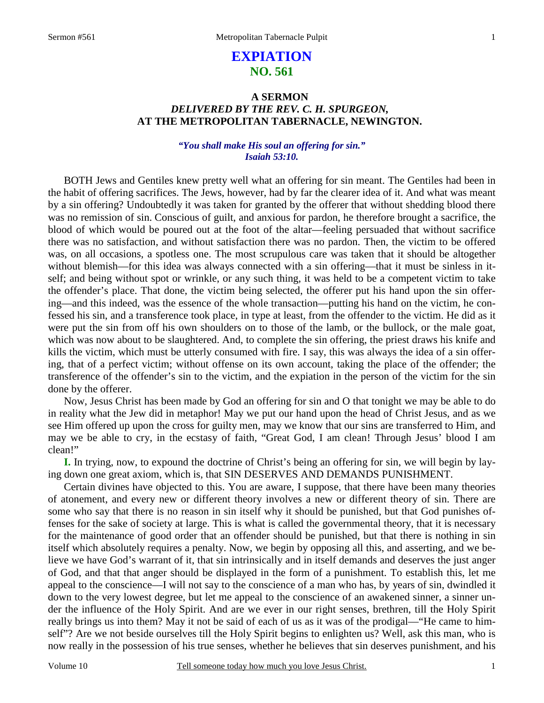# **EXPIATION NO. 561**

# **A SERMON**  *DELIVERED BY THE REV. C. H. SPURGEON,*  **AT THE METROPOLITAN TABERNACLE, NEWINGTON.**

## *"You shall make His soul an offering for sin." Isaiah 53:10.*

BOTH Jews and Gentiles knew pretty well what an offering for sin meant. The Gentiles had been in the habit of offering sacrifices. The Jews, however, had by far the clearer idea of it. And what was meant by a sin offering? Undoubtedly it was taken for granted by the offerer that without shedding blood there was no remission of sin. Conscious of guilt, and anxious for pardon, he therefore brought a sacrifice, the blood of which would be poured out at the foot of the altar—feeling persuaded that without sacrifice there was no satisfaction, and without satisfaction there was no pardon. Then, the victim to be offered was, on all occasions, a spotless one. The most scrupulous care was taken that it should be altogether without blemish—for this idea was always connected with a sin offering—that it must be sinless in itself; and being without spot or wrinkle, or any such thing, it was held to be a competent victim to take the offender's place. That done, the victim being selected, the offerer put his hand upon the sin offering—and this indeed, was the essence of the whole transaction—putting his hand on the victim, he confessed his sin, and a transference took place, in type at least, from the offender to the victim. He did as it were put the sin from off his own shoulders on to those of the lamb, or the bullock, or the male goat, which was now about to be slaughtered. And, to complete the sin offering, the priest draws his knife and kills the victim, which must be utterly consumed with fire. I say, this was always the idea of a sin offering, that of a perfect victim; without offense on its own account, taking the place of the offender; the transference of the offender's sin to the victim, and the expiation in the person of the victim for the sin done by the offerer.

Now, Jesus Christ has been made by God an offering for sin and O that tonight we may be able to do in reality what the Jew did in metaphor! May we put our hand upon the head of Christ Jesus, and as we see Him offered up upon the cross for guilty men, may we know that our sins are transferred to Him, and may we be able to cry, in the ecstasy of faith, "Great God, I am clean! Through Jesus' blood I am clean!"

**I.** In trying, now, to expound the doctrine of Christ's being an offering for sin, we will begin by laying down one great axiom, which is, that SIN DESERVES AND DEMANDS PUNISHMENT.

Certain divines have objected to this. You are aware, I suppose, that there have been many theories of atonement, and every new or different theory involves a new or different theory of sin. There are some who say that there is no reason in sin itself why it should be punished, but that God punishes offenses for the sake of society at large. This is what is called the governmental theory, that it is necessary for the maintenance of good order that an offender should be punished, but that there is nothing in sin itself which absolutely requires a penalty. Now, we begin by opposing all this, and asserting, and we believe we have God's warrant of it, that sin intrinsically and in itself demands and deserves the just anger of God, and that that anger should be displayed in the form of a punishment. To establish this, let me appeal to the conscience—I will not say to the conscience of a man who has, by years of sin, dwindled it down to the very lowest degree, but let me appeal to the conscience of an awakened sinner, a sinner under the influence of the Holy Spirit. And are we ever in our right senses, brethren, till the Holy Spirit really brings us into them? May it not be said of each of us as it was of the prodigal—"He came to himself"? Are we not beside ourselves till the Holy Spirit begins to enlighten us? Well, ask this man, who is now really in the possession of his true senses, whether he believes that sin deserves punishment, and his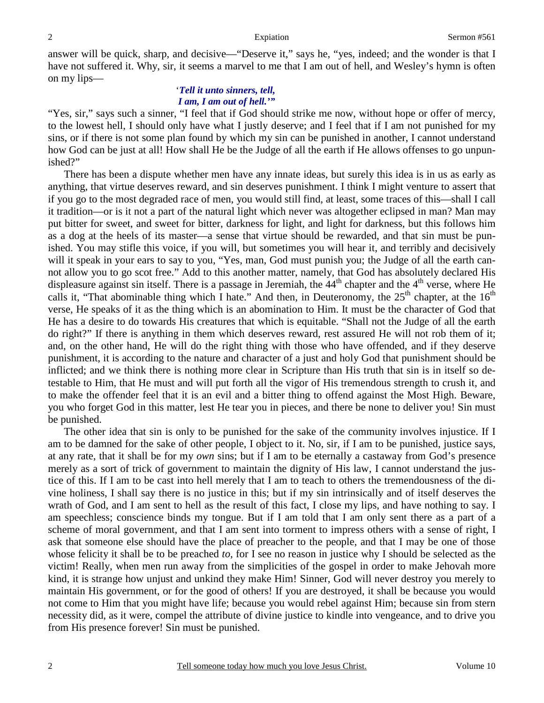answer will be quick, sharp, and decisive—"Deserve it," says he, "yes, indeed; and the wonder is that I have not suffered it. Why, sir, it seems a marvel to me that I am out of hell, and Wesley's hymn is often on my lips—

### '*Tell it unto sinners, tell, I am, I am out of hell.'"*

"Yes, sir," says such a sinner, "I feel that if God should strike me now, without hope or offer of mercy, to the lowest hell, I should only have what I justly deserve; and I feel that if I am not punished for my sins, or if there is not some plan found by which my sin can be punished in another, I cannot understand how God can be just at all! How shall He be the Judge of all the earth if He allows offenses to go unpunished?"

There has been a dispute whether men have any innate ideas, but surely this idea is in us as early as anything, that virtue deserves reward, and sin deserves punishment. I think I might venture to assert that if you go to the most degraded race of men, you would still find, at least, some traces of this—shall I call it tradition—or is it not a part of the natural light which never was altogether eclipsed in man? Man may put bitter for sweet, and sweet for bitter, darkness for light, and light for darkness, but this follows him as a dog at the heels of its master—a sense that virtue should be rewarded, and that sin must be punished. You may stifle this voice, if you will, but sometimes you will hear it, and terribly and decisively will it speak in your ears to say to you, "Yes, man, God must punish you; the Judge of all the earth cannot allow you to go scot free." Add to this another matter, namely, that God has absolutely declared His displeasure against sin itself. There is a passage in Jeremiah, the  $44<sup>th</sup>$  chapter and the  $4<sup>th</sup>$  verse, where He calls it, "That abominable thing which I hate." And then, in Deuteronomy, the  $25<sup>th</sup>$  chapter, at the  $16<sup>th</sup>$ verse, He speaks of it as the thing which is an abomination to Him. It must be the character of God that He has a desire to do towards His creatures that which is equitable. "Shall not the Judge of all the earth do right?" If there is anything in them which deserves reward, rest assured He will not rob them of it; and, on the other hand, He will do the right thing with those who have offended, and if they deserve punishment, it is according to the nature and character of a just and holy God that punishment should be inflicted; and we think there is nothing more clear in Scripture than His truth that sin is in itself so detestable to Him, that He must and will put forth all the vigor of His tremendous strength to crush it, and to make the offender feel that it is an evil and a bitter thing to offend against the Most High. Beware, you who forget God in this matter, lest He tear you in pieces, and there be none to deliver you! Sin must be punished.

The other idea that sin is only to be punished for the sake of the community involves injustice. If I am to be damned for the sake of other people, I object to it. No, sir, if I am to be punished, justice says, at any rate, that it shall be for my *own* sins; but if I am to be eternally a castaway from God's presence merely as a sort of trick of government to maintain the dignity of His law, I cannot understand the justice of this. If I am to be cast into hell merely that I am to teach to others the tremendousness of the divine holiness, I shall say there is no justice in this; but if my sin intrinsically and of itself deserves the wrath of God, and I am sent to hell as the result of this fact, I close my lips, and have nothing to say. I am speechless; conscience binds my tongue. But if I am told that I am only sent there as a part of a scheme of moral government, and that I am sent into torment to impress others with a sense of right, I ask that someone else should have the place of preacher to the people, and that I may be one of those whose felicity it shall be to be preached *to,* for I see no reason in justice why I should be selected as the victim! Really, when men run away from the simplicities of the gospel in order to make Jehovah more kind, it is strange how unjust and unkind they make Him! Sinner, God will never destroy you merely to maintain His government, or for the good of others! If you are destroyed, it shall be because you would not come to Him that you might have life; because you would rebel against Him; because sin from stern necessity did, as it were, compel the attribute of divine justice to kindle into vengeance, and to drive you from His presence forever! Sin must be punished.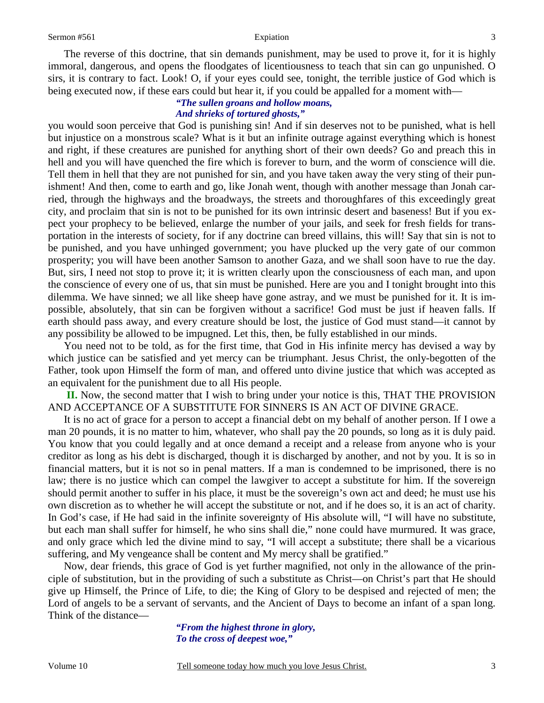The reverse of this doctrine, that sin demands punishment, may be used to prove it, for it is highly immoral, dangerous, and opens the floodgates of licentiousness to teach that sin can go unpunished. O sirs, it is contrary to fact. Look! O, if your eyes could see, tonight, the terrible justice of God which is being executed now, if these ears could but hear it, if you could be appalled for a moment with—

### *"The sullen groans and hollow moans, And shrieks of tortured ghosts,"*

you would soon perceive that God is punishing sin! And if sin deserves not to be punished, what is hell but injustice on a monstrous scale? What is it but an infinite outrage against everything which is honest and right, if these creatures are punished for anything short of their own deeds? Go and preach this in hell and you will have quenched the fire which is forever to burn, and the worm of conscience will die. Tell them in hell that they are not punished for sin, and you have taken away the very sting of their punishment! And then, come to earth and go, like Jonah went, though with another message than Jonah carried, through the highways and the broadways, the streets and thoroughfares of this exceedingly great city, and proclaim that sin is not to be punished for its own intrinsic desert and baseness! But if you expect your prophecy to be believed, enlarge the number of your jails, and seek for fresh fields for transportation in the interests of society, for if any doctrine can breed villains, this will! Say that sin is not to be punished, and you have unhinged government; you have plucked up the very gate of our common prosperity; you will have been another Samson to another Gaza, and we shall soon have to rue the day. But, sirs, I need not stop to prove it; it is written clearly upon the consciousness of each man, and upon the conscience of every one of us, that sin must be punished. Here are you and I tonight brought into this dilemma. We have sinned; we all like sheep have gone astray, and we must be punished for it. It is impossible, absolutely, that sin can be forgiven without a sacrifice! God must be just if heaven falls. If earth should pass away, and every creature should be lost, the justice of God must stand—it cannot by any possibility be allowed to be impugned. Let this, then, be fully established in our minds.

You need not to be told, as for the first time, that God in His infinite mercy has devised a way by which justice can be satisfied and yet mercy can be triumphant. Jesus Christ, the only-begotten of the Father, took upon Himself the form of man, and offered unto divine justice that which was accepted as an equivalent for the punishment due to all His people.

**II.** Now, the second matter that I wish to bring under your notice is this, THAT THE PROVISION AND ACCEPTANCE OF A SUBSTITUTE FOR SINNERS IS AN ACT OF DIVINE GRACE.

It is no act of grace for a person to accept a financial debt on my behalf of another person. If I owe a man 20 pounds, it is no matter to him, whatever, who shall pay the 20 pounds, so long as it is duly paid. You know that you could legally and at once demand a receipt and a release from anyone who is your creditor as long as his debt is discharged, though it is discharged by another, and not by you. It is so in financial matters, but it is not so in penal matters. If a man is condemned to be imprisoned, there is no law; there is no justice which can compel the lawgiver to accept a substitute for him. If the sovereign should permit another to suffer in his place, it must be the sovereign's own act and deed; he must use his own discretion as to whether he will accept the substitute or not, and if he does so, it is an act of charity. In God's case, if He had said in the infinite sovereignty of His absolute will, "I will have no substitute, but each man shall suffer for himself, he who sins shall die," none could have murmured. It was grace, and only grace which led the divine mind to say, "I will accept a substitute; there shall be a vicarious suffering, and My vengeance shall be content and My mercy shall be gratified."

Now, dear friends, this grace of God is yet further magnified, not only in the allowance of the principle of substitution, but in the providing of such a substitute as Christ—on Christ's part that He should give up Himself, the Prince of Life, to die; the King of Glory to be despised and rejected of men; the Lord of angels to be a servant of servants, and the Ancient of Days to become an infant of a span long. Think of the distance—

> *"From the highest throne in glory, To the cross of deepest woe,"*

3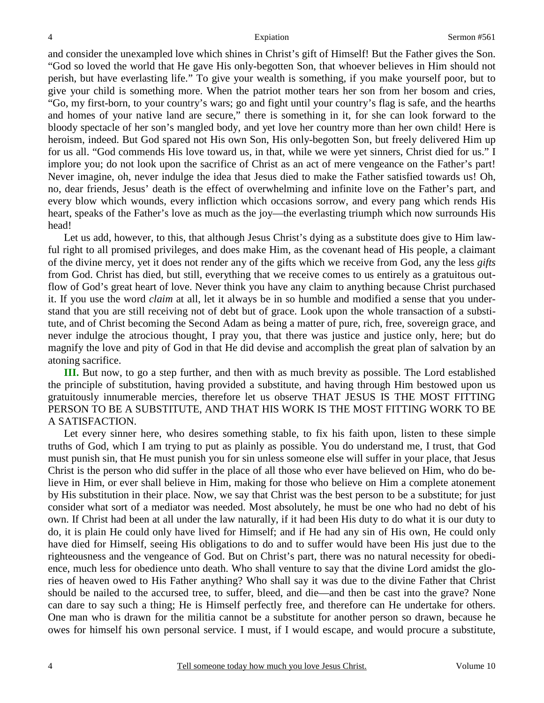and consider the unexampled love which shines in Christ's gift of Himself! But the Father gives the Son. "God so loved the world that He gave His only-begotten Son, that whoever believes in Him should not perish, but have everlasting life." To give your wealth is something, if you make yourself poor, but to give your child is something more. When the patriot mother tears her son from her bosom and cries, "Go, my first-born, to your country's wars; go and fight until your country's flag is safe, and the hearths and homes of your native land are secure," there is something in it, for she can look forward to the bloody spectacle of her son's mangled body, and yet love her country more than her own child! Here is heroism, indeed. But God spared not His own Son, His only-begotten Son, but freely delivered Him up for us all. "God commends His love toward us, in that, while we were yet sinners, Christ died for us." I implore you; do not look upon the sacrifice of Christ as an act of mere vengeance on the Father's part! Never imagine, oh, never indulge the idea that Jesus died to make the Father satisfied towards us! Oh, no, dear friends, Jesus' death is the effect of overwhelming and infinite love on the Father's part, and every blow which wounds, every infliction which occasions sorrow, and every pang which rends His heart, speaks of the Father's love as much as the joy—the everlasting triumph which now surrounds His head!

Let us add, however, to this, that although Jesus Christ's dying as a substitute does give to Him lawful right to all promised privileges, and does make Him, as the covenant head of His people, a claimant of the divine mercy, yet it does not render any of the gifts which we receive from God, any the less *gifts* from God. Christ has died, but still, everything that we receive comes to us entirely as a gratuitous outflow of God's great heart of love. Never think you have any claim to anything because Christ purchased it. If you use the word *claim* at all, let it always be in so humble and modified a sense that you understand that you are still receiving not of debt but of grace. Look upon the whole transaction of a substitute, and of Christ becoming the Second Adam as being a matter of pure, rich, free, sovereign grace, and never indulge the atrocious thought, I pray you, that there was justice and justice only, here; but do magnify the love and pity of God in that He did devise and accomplish the great plan of salvation by an atoning sacrifice.

**III.** But now, to go a step further, and then with as much brevity as possible. The Lord established the principle of substitution, having provided a substitute, and having through Him bestowed upon us gratuitously innumerable mercies, therefore let us observe THAT JESUS IS THE MOST FITTING PERSON TO BE A SUBSTITUTE, AND THAT HIS WORK IS THE MOST FITTING WORK TO BE A SATISFACTION.

Let every sinner here, who desires something stable, to fix his faith upon, listen to these simple truths of God, which I am trying to put as plainly as possible. You do understand me, I trust, that God must punish sin, that He must punish you for sin unless someone else will suffer in your place, that Jesus Christ is the person who did suffer in the place of all those who ever have believed on Him, who do believe in Him, or ever shall believe in Him, making for those who believe on Him a complete atonement by His substitution in their place. Now, we say that Christ was the best person to be a substitute; for just consider what sort of a mediator was needed. Most absolutely, he must be one who had no debt of his own. If Christ had been at all under the law naturally, if it had been His duty to do what it is our duty to do, it is plain He could only have lived for Himself; and if He had any sin of His own, He could only have died for Himself, seeing His obligations to do and to suffer would have been His just due to the righteousness and the vengeance of God. But on Christ's part, there was no natural necessity for obedience, much less for obedience unto death. Who shall venture to say that the divine Lord amidst the glories of heaven owed to His Father anything? Who shall say it was due to the divine Father that Christ should be nailed to the accursed tree, to suffer, bleed, and die—and then be cast into the grave? None can dare to say such a thing; He is Himself perfectly free, and therefore can He undertake for others. One man who is drawn for the militia cannot be a substitute for another person so drawn, because he owes for himself his own personal service. I must, if I would escape, and would procure a substitute,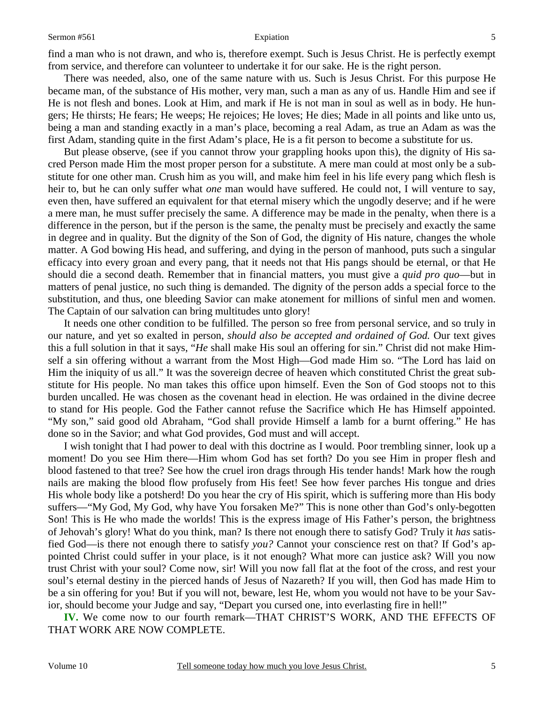find a man who is not drawn, and who is, therefore exempt. Such is Jesus Christ. He is perfectly exempt from service, and therefore can volunteer to undertake it for our sake. He is the right person.

There was needed, also, one of the same nature with us. Such is Jesus Christ. For this purpose He became man, of the substance of His mother, very man, such a man as any of us. Handle Him and see if He is not flesh and bones. Look at Him, and mark if He is not man in soul as well as in body. He hungers; He thirsts; He fears; He weeps; He rejoices; He loves; He dies; Made in all points and like unto us, being a man and standing exactly in a man's place, becoming a real Adam, as true an Adam as was the first Adam, standing quite in the first Adam's place, He is a fit person to become a substitute for us.

But please observe, (see if you cannot throw your grappling hooks upon this), the dignity of His sacred Person made Him the most proper person for a substitute. A mere man could at most only be a substitute for one other man. Crush him as you will, and make him feel in his life every pang which flesh is heir to, but he can only suffer what *one* man would have suffered. He could not, I will venture to say, even then, have suffered an equivalent for that eternal misery which the ungodly deserve; and if he were a mere man, he must suffer precisely the same. A difference may be made in the penalty, when there is a difference in the person, but if the person is the same, the penalty must be precisely and exactly the same in degree and in quality. But the dignity of the Son of God, the dignity of His nature, changes the whole matter. A God bowing His head, and suffering, and dying in the person of manhood, puts such a singular efficacy into every groan and every pang, that it needs not that His pangs should be eternal, or that He should die a second death. Remember that in financial matters, you must give a *quid pro quo*—but in matters of penal justice, no such thing is demanded. The dignity of the person adds a special force to the substitution, and thus, one bleeding Savior can make atonement for millions of sinful men and women. The Captain of our salvation can bring multitudes unto glory!

It needs one other condition to be fulfilled. The person so free from personal service, and so truly in our nature, and yet so exalted in person, *should also be accepted and ordained of God.* Our text gives this a full solution in that it says, "*He* shall make His soul an offering for sin." Christ did not make Himself a sin offering without a warrant from the Most High—God made Him so. "The Lord has laid on Him the iniquity of us all." It was the sovereign decree of heaven which constituted Christ the great substitute for His people. No man takes this office upon himself. Even the Son of God stoops not to this burden uncalled. He was chosen as the covenant head in election. He was ordained in the divine decree to stand for His people. God the Father cannot refuse the Sacrifice which He has Himself appointed. "My son," said good old Abraham, "God shall provide Himself a lamb for a burnt offering." He has done so in the Savior; and what God provides, God must and will accept.

I wish tonight that I had power to deal with this doctrine as I would. Poor trembling sinner, look up a moment! Do you see Him there—Him whom God has set forth? Do you see Him in proper flesh and blood fastened to that tree? See how the cruel iron drags through His tender hands! Mark how the rough nails are making the blood flow profusely from His feet! See how fever parches His tongue and dries His whole body like a potsherd! Do you hear the cry of His spirit, which is suffering more than His body suffers—"My God, My God, why have You forsaken Me?" This is none other than God's only-begotten Son! This is He who made the worlds! This is the express image of His Father's person, the brightness of Jehovah's glory! What do you think, man? Is there not enough there to satisfy God? Truly it *has* satisfied God—is there not enough there to satisfy *you?* Cannot your conscience rest on that? If God's appointed Christ could suffer in your place, is it not enough? What more can justice ask? Will you now trust Christ with your soul? Come now, sir! Will you now fall flat at the foot of the cross, and rest your soul's eternal destiny in the pierced hands of Jesus of Nazareth? If you will, then God has made Him to be a sin offering for you! But if you will not, beware, lest He, whom you would not have to be your Savior, should become your Judge and say, "Depart you cursed one, into everlasting fire in hell!"

**IV.** We come now to our fourth remark—THAT CHRIST'S WORK, AND THE EFFECTS OF THAT WORK ARE NOW COMPLETE.

5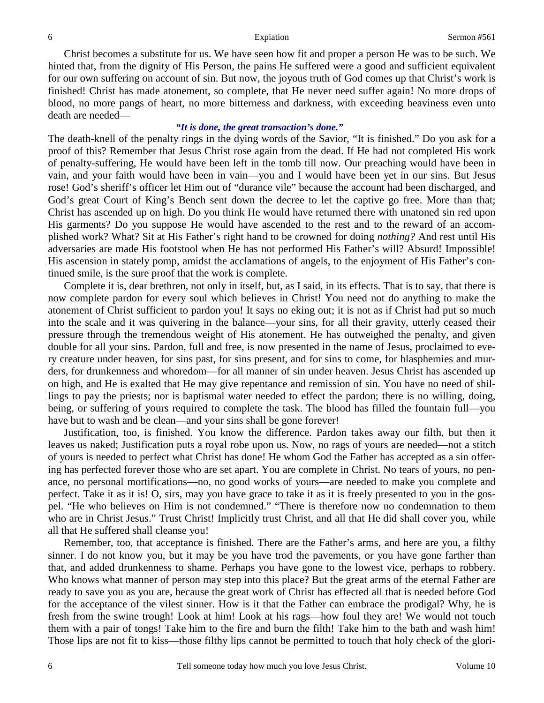Christ becomes a substitute for us. We have seen how fit and proper a person He was to be such. We hinted that, from the dignity of His Person, the pains He suffered were a good and sufficient equivalent for our own suffering on account of sin. But now, the joyous truth of God comes up that Christ's work is finished! Christ has made atonement, so complete, that He never need suffer again! No more drops of blood, no more pangs of heart, no more bitterness and darkness, with exceeding heaviness even unto death are needed—

### *"It is done, the great transaction's done."*

The death-knell of the penalty rings in the dying words of the Savior, "It is finished." Do you ask for a proof of this? Remember that Jesus Christ rose again from the dead. If He had not completed His work of penalty-suffering, He would have been left in the tomb till now. Our preaching would have been in vain, and your faith would have been in vain—you and I would have been yet in our sins. But Jesus rose! God's sheriff's officer let Him out of "durance vile" because the account had been discharged, and God's great Court of King's Bench sent down the decree to let the captive go free. More than that; Christ has ascended up on high. Do you think He would have returned there with unatoned sin red upon His garments? Do you suppose He would have ascended to the rest and to the reward of an accomplished work? What? Sit at His Father's right hand to be crowned for doing *nothing?* And rest until His adversaries are made His footstool when He has not performed His Father's will? Absurd! Impossible! His ascension in stately pomp, amidst the acclamations of angels, to the enjoyment of His Father's continued smile, is the sure proof that the work is complete.

Complete it is, dear brethren, not only in itself, but, as I said, in its effects. That is to say, that there is now complete pardon for every soul which believes in Christ! You need not do anything to make the atonement of Christ sufficient to pardon you! It says no eking out; it is not as if Christ had put so much into the scale and it was quivering in the balance—your sins, for all their gravity, utterly ceased their pressure through the tremendous weight of His atonement. He has outweighed the penalty, and given double for all your sins. Pardon, full and free, is now presented in the name of Jesus, proclaimed to every creature under heaven, for sins past, for sins present, and for sins to come, for blasphemies and murders, for drunkenness and whoredom—for all manner of sin under heaven. Jesus Christ has ascended up on high, and He is exalted that He may give repentance and remission of sin. You have no need of shillings to pay the priests; nor is baptismal water needed to effect the pardon; there is no willing, doing, being, or suffering of yours required to complete the task. The blood has filled the fountain full—you have but to wash and be clean—and your sins shall be gone forever!

Justification, too, is finished. You know the difference. Pardon takes away our filth, but then it leaves us naked; Justification puts a royal robe upon us. Now, no rags of yours are needed—not a stitch of yours is needed to perfect what Christ has done! He whom God the Father has accepted as a sin offering has perfected forever those who are set apart. You are complete in Christ. No tears of yours, no penance, no personal mortifications—no, no good works of yours—are needed to make you complete and perfect. Take it as it is! O, sirs, may you have grace to take it as it is freely presented to you in the gospel. "He who believes on Him is not condemned." "There is therefore now no condemnation to them who are in Christ Jesus." Trust Christ! Implicitly trust Christ, and all that He did shall cover you, while all that He suffered shall cleanse you!

Remember, too, that acceptance is finished. There are the Father's arms, and here are you, a filthy sinner. I do not know you, but it may be you have trod the pavements, or you have gone farther than that, and added drunkenness to shame. Perhaps you have gone to the lowest vice, perhaps to robbery. Who knows what manner of person may step into this place? But the great arms of the eternal Father are ready to save you as you are, because the great work of Christ has effected all that is needed before God for the acceptance of the vilest sinner. How is it that the Father can embrace the prodigal? Why, he is fresh from the swine trough! Look at him! Look at his rags—how foul they are! We would not touch them with a pair of tongs! Take him to the fire and burn the filth! Take him to the bath and wash him! Those lips are not fit to kiss—those filthy lips cannot be permitted to touch that holy check of the glori-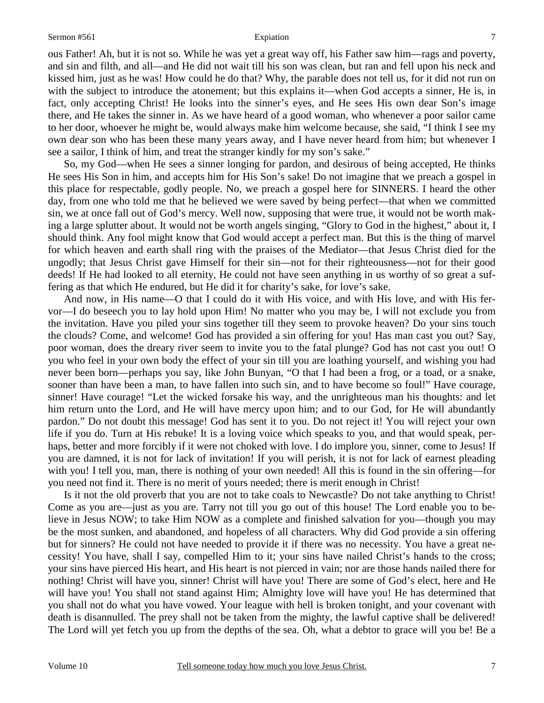ous Father! Ah, but it is not so. While he was yet a great way off, his Father saw him—rags and poverty, and sin and filth, and all—and He did not wait till his son was clean, but ran and fell upon his neck and kissed him, just as he was! How could he do that? Why, the parable does not tell us, for it did not run on with the subject to introduce the atonement; but this explains it—when God accepts a sinner, He is, in fact, only accepting Christ! He looks into the sinner's eyes, and He sees His own dear Son's image there, and He takes the sinner in. As we have heard of a good woman, who whenever a poor sailor came to her door, whoever he might be, would always make him welcome because, she said, "I think I see my own dear son who has been these many years away, and I have never heard from him; but whenever I see a sailor, I think of him, and treat the stranger kindly for my son's sake."

So, my God—when He sees a sinner longing for pardon, and desirous of being accepted, He thinks He sees His Son in him, and accepts him for His Son's sake! Do not imagine that we preach a gospel in this place for respectable, godly people. No, we preach a gospel here for SINNERS. I heard the other day, from one who told me that he believed we were saved by being perfect—that when we committed sin, we at once fall out of God's mercy. Well now, supposing that were true, it would not be worth making a large splutter about. It would not be worth angels singing, "Glory to God in the highest," about it, I should think. Any fool might know that God would accept a perfect man. But this is the thing of marvel for which heaven and earth shall ring with the praises of the Mediator—that Jesus Christ died for the ungodly; that Jesus Christ gave Himself for their sin—not for their righteousness—not for their good deeds! If He had looked to all eternity, He could not have seen anything in us worthy of so great a suffering as that which He endured, but He did it for charity's sake, for love's sake.

And now, in His name—O that I could do it with His voice, and with His love, and with His fervor—I do beseech you to lay hold upon Him! No matter who you may be, I will not exclude you from the invitation. Have you piled your sins together till they seem to provoke heaven? Do your sins touch the clouds? Come, and welcome! God has provided a sin offering for you! Has man cast you out? Say, poor woman, does the dreary river seem to invite you to the fatal plunge? God has not cast you out! O you who feel in your own body the effect of your sin till you are loathing yourself, and wishing you had never been born—perhaps you say, like John Bunyan, "O that I had been a frog, or a toad, or a snake, sooner than have been a man, to have fallen into such sin, and to have become so foul!" Have courage, sinner! Have courage! "Let the wicked forsake his way, and the unrighteous man his thoughts: and let him return unto the Lord, and He will have mercy upon him; and to our God, for He will abundantly pardon." Do not doubt this message! God has sent it to you. Do not reject it! You will reject your own life if you do. Turn at His rebuke! It is a loving voice which speaks to you, and that would speak, perhaps, better and more forcibly if it were not choked with love. I do implore you, sinner, come to Jesus! If you are damned, it is not for lack of invitation! If you will perish, it is not for lack of earnest pleading with you! I tell you, man, there is nothing of your own needed! All this is found in the sin offering—for you need not find it. There is no merit of yours needed; there is merit enough in Christ!

Is it not the old proverb that you are not to take coals to Newcastle? Do not take anything to Christ! Come as you are—just as you are. Tarry not till you go out of this house! The Lord enable you to believe in Jesus NOW; to take Him NOW as a complete and finished salvation for you—though you may be the most sunken, and abandoned, and hopeless of all characters. Why did God provide a sin offering but for sinners? He could not have needed to provide it if there was no necessity. You have a great necessity! You have, shall I say, compelled Him to it; your sins have nailed Christ's hands to the cross; your sins have pierced His heart, and His heart is not pierced in vain; nor are those hands nailed there for nothing! Christ will have you, sinner! Christ will have you! There are some of God's elect, here and He will have you! You shall not stand against Him; Almighty love will have you! He has determined that you shall not do what you have vowed. Your league with hell is broken tonight, and your covenant with death is disannulled. The prey shall not be taken from the mighty, the lawful captive shall be delivered! The Lord will yet fetch you up from the depths of the sea. Oh, what a debtor to grace will you be! Be a